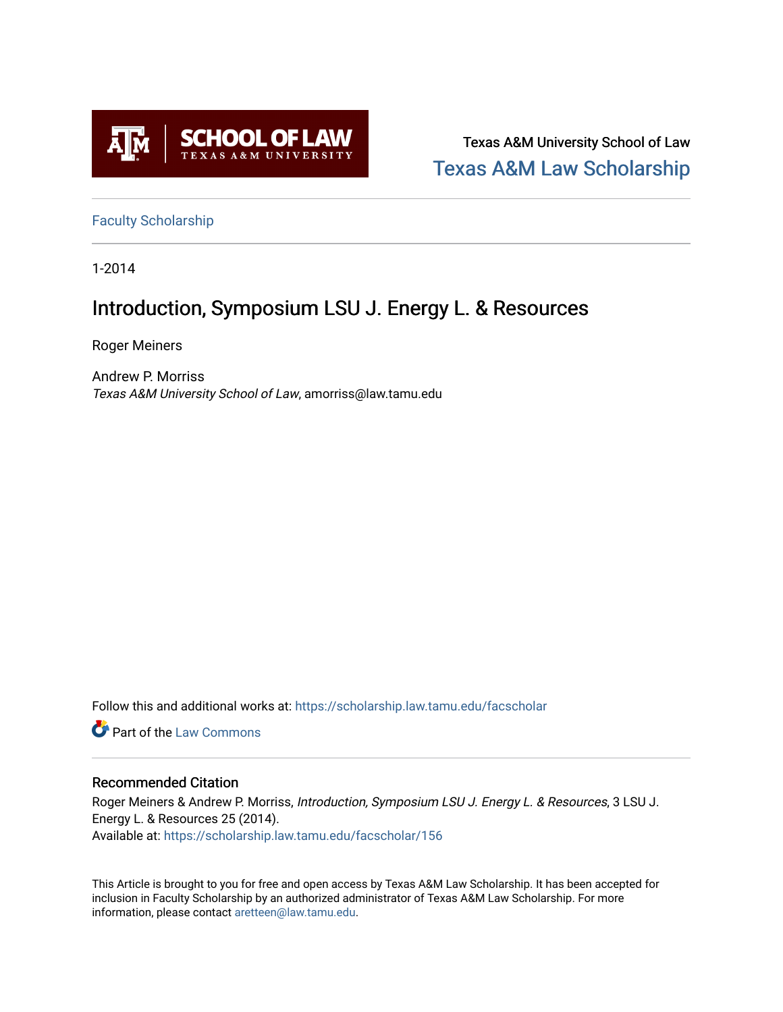

Texas A&M University School of Law [Texas A&M Law Scholarship](https://scholarship.law.tamu.edu/) 

[Faculty Scholarship](https://scholarship.law.tamu.edu/facscholar)

1-2014

## Introduction, Symposium LSU J. Energy L. & Resources

Roger Meiners

Andrew P. Morriss Texas A&M University School of Law, amorriss@law.tamu.edu

Follow this and additional works at: [https://scholarship.law.tamu.edu/facscholar](https://scholarship.law.tamu.edu/facscholar?utm_source=scholarship.law.tamu.edu%2Ffacscholar%2F156&utm_medium=PDF&utm_campaign=PDFCoverPages) 

**C** Part of the [Law Commons](http://network.bepress.com/hgg/discipline/578?utm_source=scholarship.law.tamu.edu%2Ffacscholar%2F156&utm_medium=PDF&utm_campaign=PDFCoverPages)

## Recommended Citation

Roger Meiners & Andrew P. Morriss, Introduction, Symposium LSU J. Energy L. & Resources, 3 LSU J. Energy L. & Resources 25 (2014). Available at: [https://scholarship.law.tamu.edu/facscholar/156](https://scholarship.law.tamu.edu/facscholar/156?utm_source=scholarship.law.tamu.edu%2Ffacscholar%2F156&utm_medium=PDF&utm_campaign=PDFCoverPages)

This Article is brought to you for free and open access by Texas A&M Law Scholarship. It has been accepted for inclusion in Faculty Scholarship by an authorized administrator of Texas A&M Law Scholarship. For more information, please contact [aretteen@law.tamu.edu](mailto:aretteen@law.tamu.edu).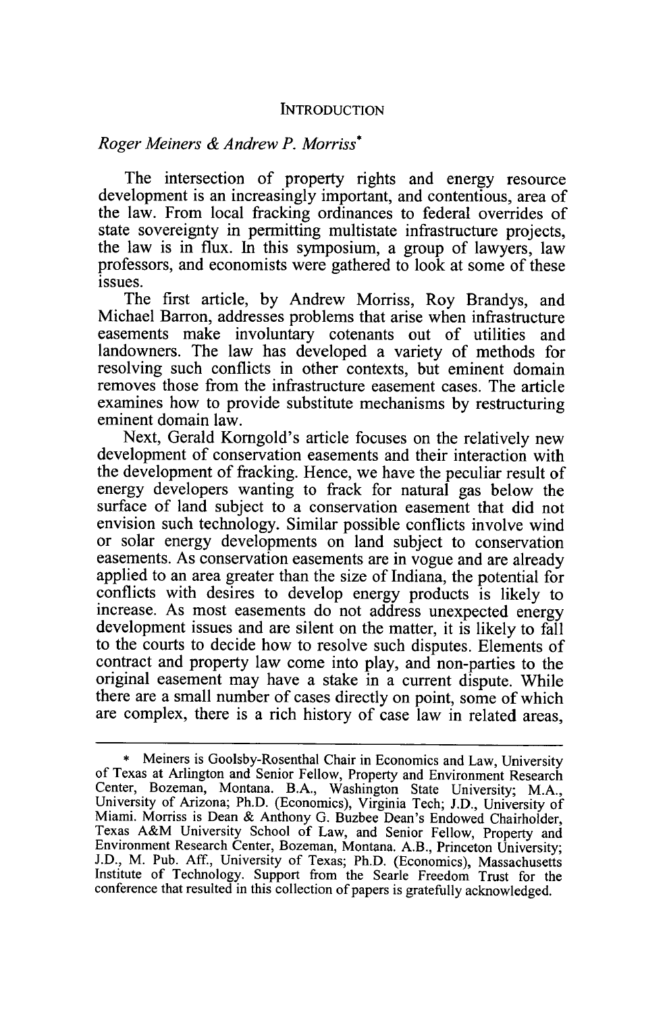## **INTRODUCTION**

## *Roger Meiners & Andrew P. Morriss\**

The intersection of property rights and energy resource development is an increasingly important, and contentious, area of the law. From local fracking ordinances to federal overrides of state sovereignty in permitting multistate infrastructure projects, the law is in flux. In this symposium, a group of lawyers, law professors, and economists were gathered to look at some of these issues.

The first article, **by** Andrew Morriss, Roy Brandys, and Michael Barron, addresses problems that arise when infrastructure easements make involuntary cotenants out of utilities and landowners. The law has developed a variety of methods for resolving such conflicts in other contexts, but eminent domain removes those from the infrastructure easement cases. The article examines how to provide substitute mechanisms **by** restructuring eminent domain law.

Next, Gerald Korngold's article focuses on the relatively new development of conservation easements and their interaction with the development of fracking. Hence, we have the peculiar result of energy developers wanting to frack for natural gas below the surface of land subject to a conservation easement that did not envision such technology. Similar possible conflicts involve wind or solar energy developments on land subject to conservation easements. As conservation easements are in vogue and are already applied to an area greater than the size of Indiana, the potential for conflicts with desires to develop energy products is likely to increase. As most easements do not address unexpected energy development issues and are silent on the matter, it is likely to fall to the courts to decide how to resolve such disputes. Elements of contract and property law come into play, and non-parties to the original easement may have a stake in a current dispute. While there are a small number of cases directly on point, some of which are complex, there is a rich history of case law in related areas,

**<sup>\*</sup>** Meiners is Goolsby-Rosenthal Chair in Economics and Law, University of Texas at Arlington and Senior Fellow, Property and Environment Research Center, Bozeman, Montana. B.A., Washington State University; M.A., University of Arizona; Ph.D. (Economics), Virginia Tech; **J.D.,** University of Miami. Morriss is Dean & Anthony G. Buzbee Dean's Endowed Chairholder, Texas A&M University School of Law, and Senior Fellow, Property and Environment Research Center, Bozeman, Montana. A.B., Princeton University: J.D., M. Pub. Aff., University of Texas; Ph.D. (Economics), Massachusetts Institute of Technology. Support from the Searle Freedom Trust for the conference that resulted in this collection of papers is gratefully acknowledged.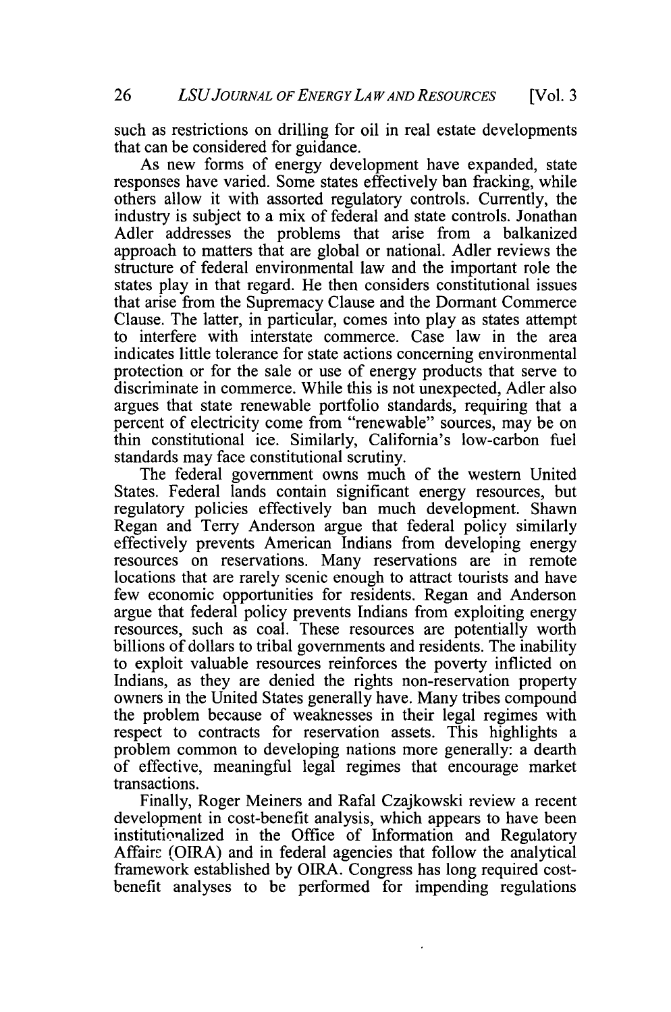such as restrictions on drilling for oil in real estate developments that can be considered for guidance.

As new forms of energy development have expanded, state responses have varied. Some states effectively ban fracking, while others allow it with assorted regulatory controls. Currently, the industry is subject to a mix of federal and state controls. Jonathan Adler addresses the problems that arise from a balkanized approach to matters that are global or national. Adler reviews the structure of federal environmental law and the important role the states play in that regard. He then considers constitutional issues that arise from the Supremacy Clause and the Dormant Commerce Clause. The latter, in particular, comes into play as states attempt to interfere with interstate commerce. Case law in the area indicates little tolerance for state actions concerning environmental protection or for the sale or use of energy products that serve to discriminate in commerce. While this is not unexpected, Adler also argues that state renewable portfolio standards, requiring that a percent of electricity come from "renewable" sources, may be on thin constitutional ice. Similarly, California's low-carbon fuel standards may face constitutional scrutiny.

The federal government owns much of the western United States. Federal lands contain significant energy resources, but regulatory policies effectively ban much development. Shawn Regan and Terry Anderson argue that federal policy similarly effectively prevents American Indians from developing energy resources on reservations. Many reservations are in remote locations that are rarely scenic enough to attract tourists and have few economic opportunities for residents. Regan and Anderson argue that federal policy prevents Indians from exploiting energy resources, such as coal. These resources are potentially worth billions of dollars to tribal governments and residents. The inability to exploit valuable resources reinforces the poverty inflicted on Indians, as they are denied the rights non-reservation property owners in the United States generally have. Many tribes compound the problem because of weaknesses in their legal regimes with respect to contracts for reservation assets. This highlights a problem common to developing nations more generally: a dearth of effective, meaningful legal regimes that encourage market transactions.

Finally, Roger Meiners and Rafal Czajkowski review a recent development in cost-benefit analysis, which appears to have been institutionalized in the Office of Information and Regulatory Affairs (OIRA) and in federal agencies that follow the analytical framework established **by** OIRA. Congress has long required costbenefit analyses to be performed for impending regulations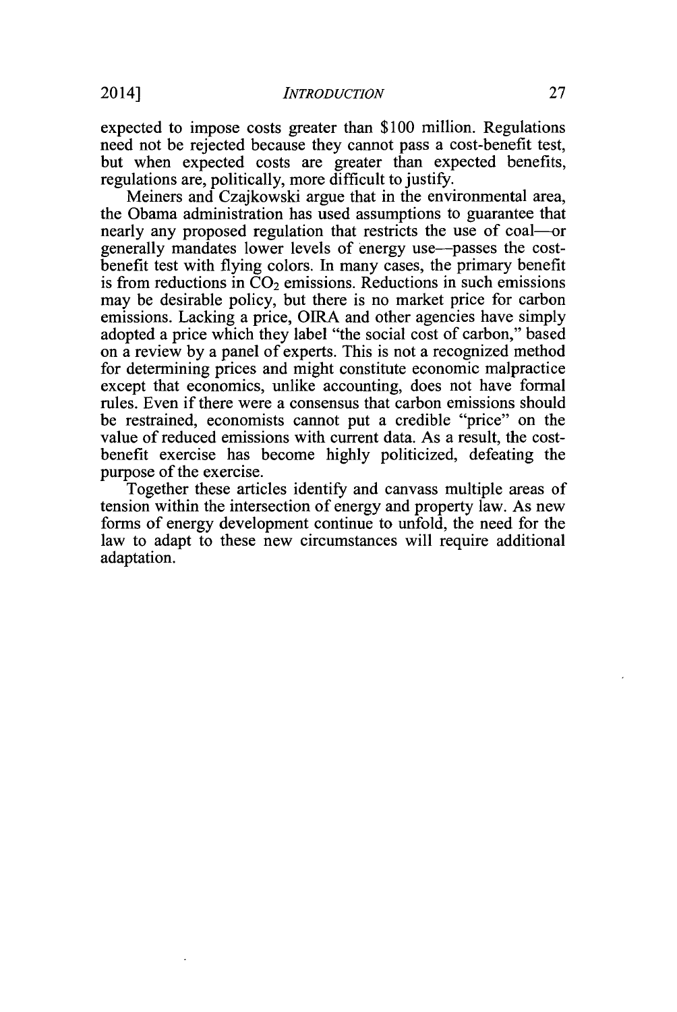expected to impose costs greater than **\$100** million. Regulations need not be rejected because they cannot pass a cost-benefit test, but when expected costs are greater than expected benefits, regulations are, politically, more difficult to justify.

Meiners and Czajkowski argue that in the environmental area, the Obama administration has used assumptions to guarantee that nearly any proposed regulation that restricts the use of coal--generally mandates lower levels of energy use-passes the costbenefit test with flying colors. In many cases, the primary benefit is from reductions in  $CO<sub>2</sub>$  emissions. Reductions in such emissions may **be** desirable policy, but there is no market price for carbon emissions. Lacking a price, **OIRA** and other agencies have simply adopted a price which they label "the social cost of carbon," based on a review **by** a panel of experts. This is not a recognized method for determining prices and might constitute economic malpractice except that economics, unlike accounting, does not have formal rules. Even if there were a consensus that carbon emissions should be restrained, economists cannot put a credible "price" on the value of reduced emissions with current data. As a result, the costbenefit exercise has become **highly** politicized, defeating the purpose of the exercise.

Together these articles identify and canvass multiple areas of tension within the intersection of energy and property law. As new forms of energy development continue to unfold, the need for the law to adapt to these new circumstances will require additional adaptation.